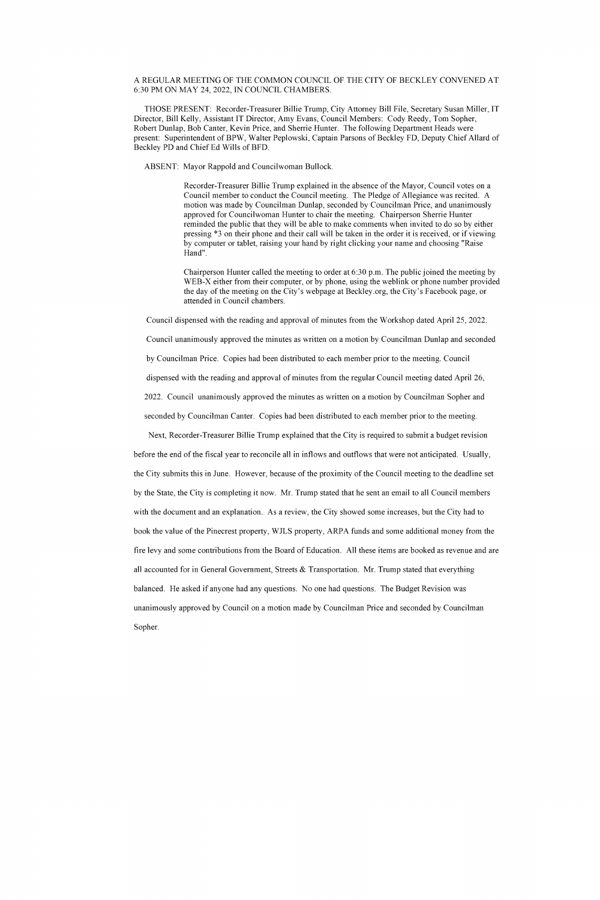## A REGULAR MEETING OF THE COMMON COUNCIL OF THE CITY OF BECKLEY CONVENED AT 6:30PMONMAY24, 2022, INCOUNCIL CHAMBERS.

THOSE PRESENT: Recorder-Treasurer Billie Trump, City Attorney Bill File, Secretary Susan Miller, IT Director, Bill Kelly, Assistant IT Director, Amy Evans, Council Members: Cody Reedy, Tom Sopher, Robert Dunlap, Bob Canter, Kevin Price, and Sherrie Hunter. The following Department Heads were present: Superintendent of BPW, Walter Peplowski, Captain Parsons of Beckley FD, Deputy Chief Allard of Beckley PD and Chief Ed Wills of BFD.

ABSENT: Mayor Rappold and Councilwoman Bullock.

Recorder-Treasurer Billie Trump explained in the absence of the Mayor, Council votes on a Council member to conduct the Council meeting. The Pledge of Allegiance was recited. A motion was made by Councilman Dunlap, seconded by Councilman Price, and unanimously approved for Councilwoman Hunter to chair the meeting. Chairperson Sherrie Hunter reminded the public that they will be able to make comments when invited to do so by either pressing \*3 on their phone and their call will be taken in the order it is received, or if viewing by computer or tablet, raising your hand by right clicking your name and choosing "Raise Hand".

Chairperson Hunter called the meeting to order at  $6:30$  p.m. The public joined the meeting by WEB-X either from their computer, or by phone, using the weblink or phone number provided the day of the meeting on the City's webpage at Beckley.org, the City's Facebook page, or attended inCouncil chambers.

Council dispensed with the reading and approval of minutes from the Workshop dated April 25, 2022.

Council unanimously approved the minutes as written on a motion by Councilman Dunlap and seconded

by Councilman Price. Copies had been distributed to each member prior to the meeting. Council

dispensed with the reading and approval of minutes from the regular Council meeting dated April 26,

2022. Council unanimously approved the minutes as written on a motion by Councilman Sopher and

seconded by Councilman Canter. Copies had been distributed to each member prior to the meeting.

Next, Recorder-Treasurer Billie Trump explained that the City is required to submit a budget revision before the end of the fiscal year to reconcile all in inflows and outflows that were not anticipated. Usually, the City submits this in June. However, because of the proximity of the Council meeting to the deadline set by the State, the City is completing it now. Mr. Trump stated that he sent an email to all Council members with the document and an explanation. As a review, the City showed some increases, but the City had to book the value of the Pinecrest property, WJLS property, ARPA funds and some additional money from the fire levy and some contributions from the Board of Education. All these items are booked as revenue and are all accounted for in General Government, Streets  $\&$  Transportation. Mr. Trump stated that everything balanced. He asked if anyone had any questions. No one had questions. The Budget Revision was unanimously approved by Council on a motion made by Councilman Price and seconded by Councilman

Sopher.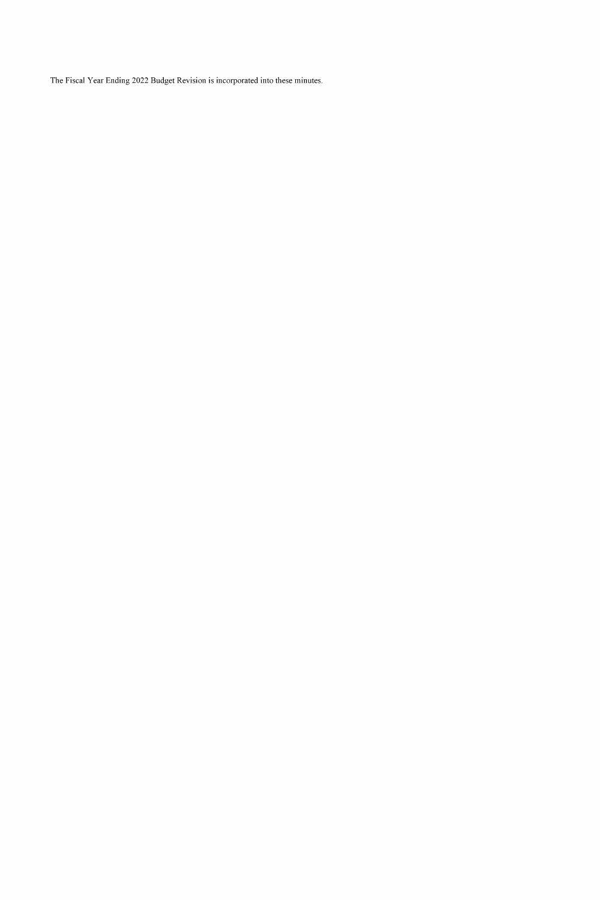The Fiscal Year Ending 2022 Budget Revision is incorporated into these minutes.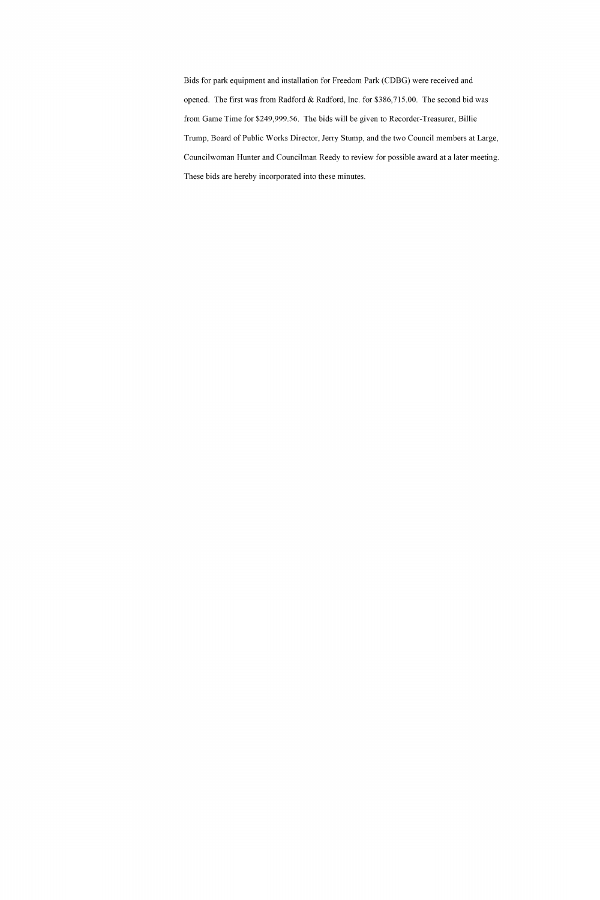Bids for park equipment and installation for Freedom Park (CDBG) were received and opened. The first was from Radford & Radford, Inc. for \$386,715.00. The second bid was from Game Time for \$249,999.56. The bids will be given to Recorder-Treasurer, Billie Trump, Board of Public Works Director, Jerry Stump, and the two Council members at Large, Councilwoman Hunter and Councilman Reedy to review for possible award at a later meeting. These bids are hereby incorporated into these minutes.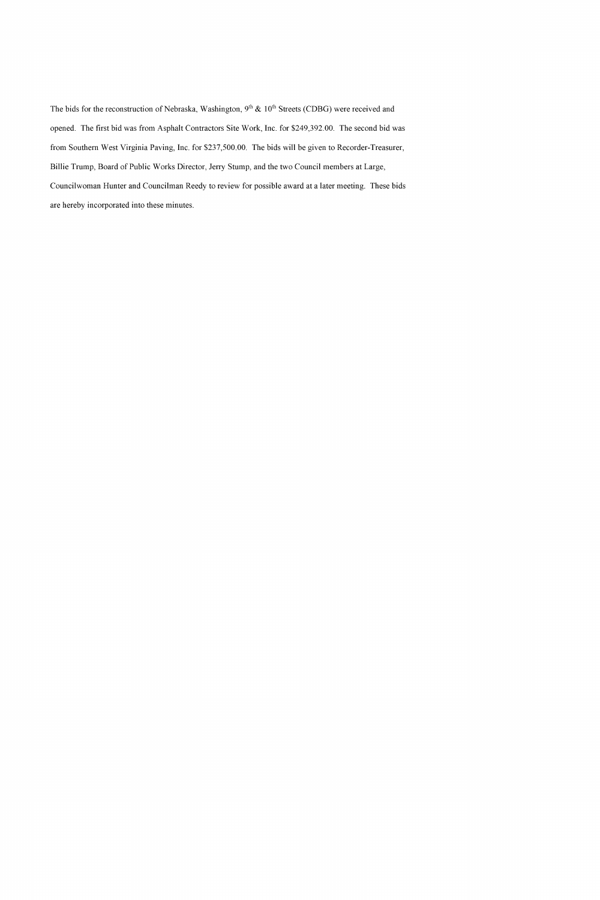The bids for the reconstruction of Nebraska, Washington,  $9<sup>th</sup>$  &  $10<sup>th</sup>$  Streets (CDBG) were received and opened. The first bid was from Asphalt Contractors Site Work, Inc. for \$249,392.00. The second bid was from Southern West Virginia Paving, Inc. for \$237,500.00. The bids will be given to Recorder-Treasurer, Billie Trump, Board of Public Works Director, Jerry Stump, and the two Council members at Large, Councilwoman Hunter and Councilman Reedy to review for possible award at a later meeting. These bids are hereby incorporated into these minutes.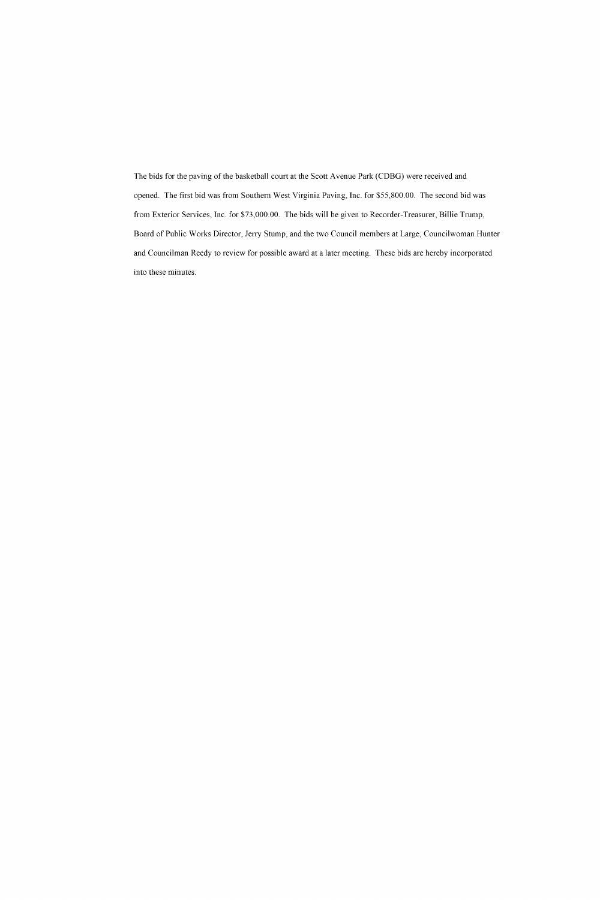The bids for the paving of the basketball court at the Scott Avenue Park (CDBG) were received and opened. The first bid was from Southern West Virginia Paving, Inc. for \$55,800.00. The second bid was from Exterior Services, Inc. for \$73,000.00. The bids will be given to Recorder-Treasurer, Billie Trump, Board of Public Works Director, Jerry Stump, and the two Council members at Large, Councilwoman Hunter and Councilman Reedy to review for possible award at a later meeting. These bids are hereby incorporated into these minutes.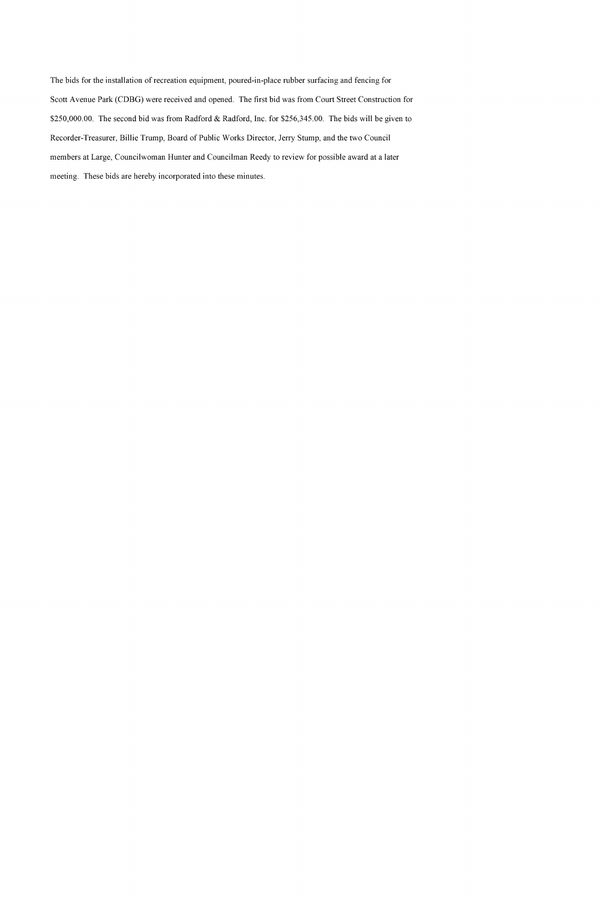The bids for the installation of recreation equipment, poured-in-place rubber surfacing and fencing for Scott Avenue Park (CDBG) were received and opened. The first bid was from Court Street Construction for \$250,000.00. The second bid was from Radford & Radford, Inc. for \$256,345.00. The bids will be given to Recorder-Treasurer, Billie Trump, Board of Public Works Director, Jerry Stump, and the two Council members at Large, Councilwoman Hunter and Councilman Reedy to review for possible award at a later meeting. These bids are hereby incorporated into these minutes.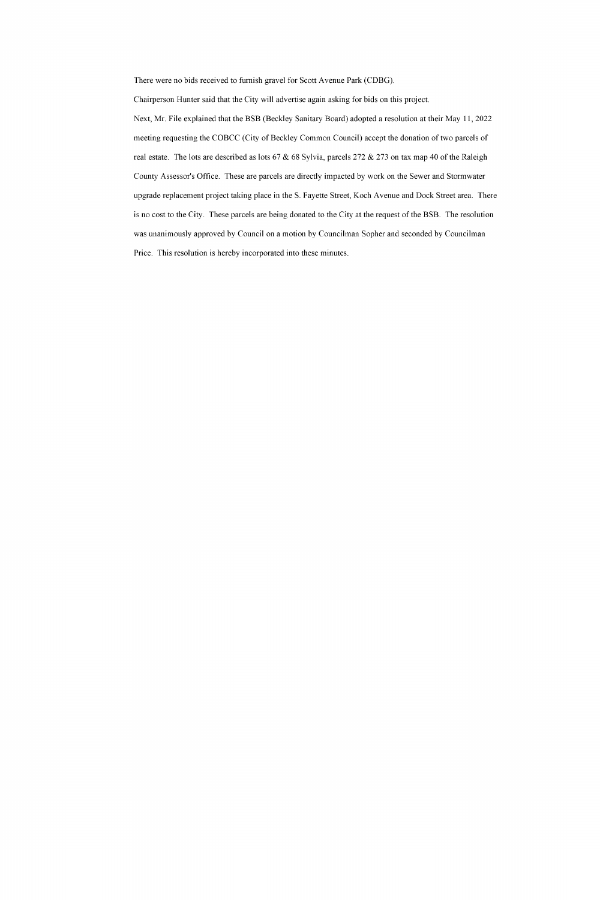There were no bids received to furnish gravel for Scott Avenue Park (CDBG).

Chairperson Hunter said that the City will advertise again asking for bids on this project. Next, Mr. File explained that the BSB (Beckley Sanitary Board) adopted a resolution at their May 11, 2022 meeting requesting the COBCC (City of Beckley Common Council) accept the donation of two parcels of real estate. The lots are described as lots 67 & 68 Sylvia, parcels 272 & 273 on tax map 40 of the Raleigh County Assessor's Office. These are parcels are directly impacted by work on the Sewer and Stormwater upgrade replacement project taking place in the S. Fayette Street, Koch Avenue and Dock Street area. There is no cost to the City. These parcels are being donated to the City at the request of the BSB. The resolution was unanimously approved by Council on a motion by Councilman Sopher and seconded by Councilman Price. This resolution is hereby incorporated into these minutes.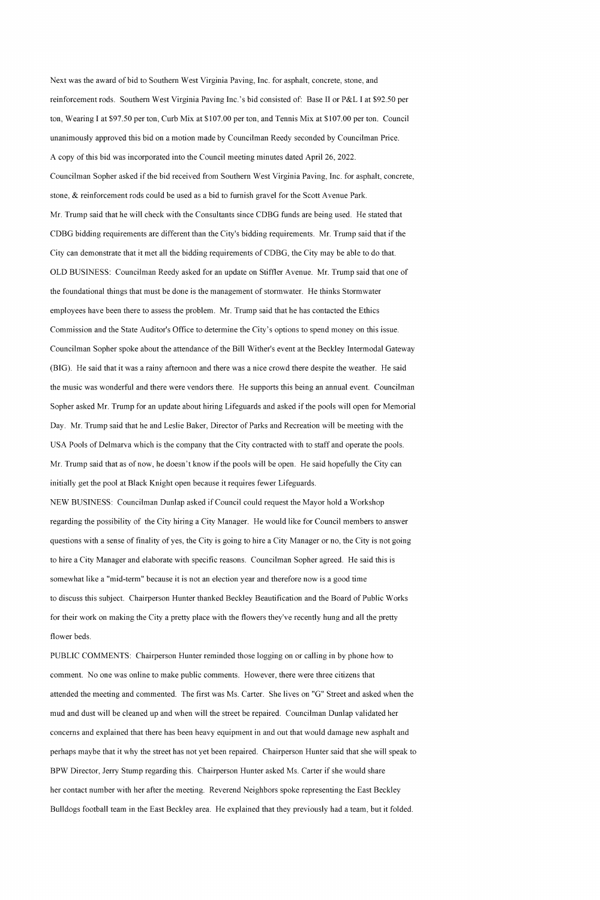Next was the award of bid to Southern West Virginia Paving, Inc. for asphalt, concrete, stone, and reinforcement rods. Southern West Virginia Paving Inc.'s bid consisted of: Base II or P&L I at \$92.50 per ton, Wearing I at \$97.50 per ton, Curb Mix at \$107.00 per ton, and Tennis Mix at \$107.00 per ton. Council unanimously approved this bid on a motion made by Councilman Reedy seconded by Councilman Price. A copy of this bid was incorporated into the Council meeting minutes dated April 26, 2022.

Councilman Sopher asked if the bid received from Southern West Virginia Paving, Inc. for asphalt, concrete, stone,  $\&$  reinforcement rods could be used as a bid to furnish gravel for the Scott Avenue Park. Mr. Trump said that he will check with the Consultants since CDBG funds are being used. He stated that CDBG bidding requirements are different than the City's bidding requirements. Mr. Trump said that if the City can demonstrate that it met all the bidding requirements of CDBG, the City may be able to do that. OLD BUSINESS: Councilman Reedy asked for an update on Stiffler Avenue. Mr. Trump said that one of the foundational things that must be done is the management of stormwater. He thinks Stormwater employees have been there to assess the problem. Mr. Trump said that he has contacted the Ethics Commission and the State Auditor's Office to determine the City's options to spend money on this issue. Councilman Sopher spoke about the attendance of the Bill Wither's event at the Beckley Intermodal Gateway (BIG). He said that it was a rainy afternoon and there was a nice crowd there despite the weather. He said the music was wonderful and there were vendors there. He supports this being an annual event. Councilman Sopher asked Mr. Trump for an update about hiring Lifeguards and asked if the pools will open for Memorial Day. Mr. Trump said that he and Leslie Baker, Director of Parks and Recreation will be meeting with the USA Pools of Delmarva which is the company that the City contracted with to staff and operate the pools. Mr. Trump said that as of now, he doesn't know if the pools will be open. He said hopefully the City can initially get the pool at Black Knight open because it requires fewer Lifeguards.

NEW BUSINESS: Councilman Dunlap asked if Council could request the Mayor hold a Workshop regarding the possibility of the City hiring a City Manager. He would like for Council members to answer questions with a sense of finality of yes, the City is going to hire a City Manager or no, the City is not going to hire a City Manager and elaborate with specific reasons. Councilman Sopher agreed. He said this is somewhat like a "mid-term" because it is not an election year and therefore now is a good time to discuss this subject. Chairperson Hunter thanked Beckley Beautification and the Board of Public Works for their work on making the City a pretty place with the flowers they've recently hung and all the pretty

flower beds.

PUBLIC COMMENTS: Chairperson Hunter reminded those logging on or calling in by phone how to comment. No one was online to make public comments. However, there were three citizens that attended the meeting and commented. The first was Ms. Carter. She lives on "G" Street and asked when the mud and dust will be cleaned up and when will the street be repaired. Councilman Dunlap validated her concerns and explained that there has been heavy equipment in and out that would damage new asphalt and perhaps maybe that it why the street has not yet been repaired. Chairperson Hunter said that she will speak to BPW Director, Jerry Stump regarding this. Chairperson Hunter asked Ms. Carter if she would share her contact number with her after the meeting. Reverend Neighbors spoke representing the East Beckley Bulldogs football team in the East Beckley area. He explained that they previously had a team, but it folded.